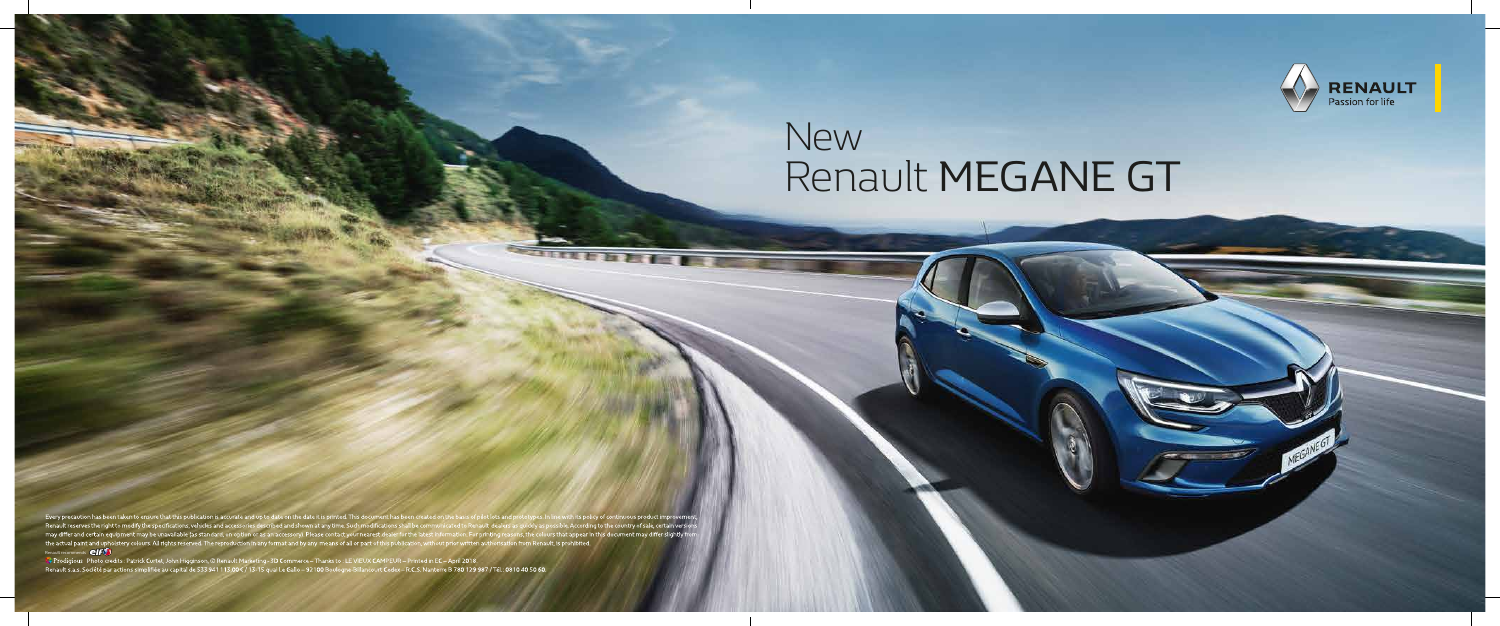# **New**

Every precaution has been taken to ensure that this publication is accurate and up to date on the date it is printed. This document has been created on the basis of pilot lots and prototypes. In Renault reserves the right prototypes. In line with its policy of continuous product improvement,<br>as quickly as possible. According to the country of sale, certain versions<br>sons, the colours that appear in this document may differ slightly from<br>on f



## Renault MEGANE GT

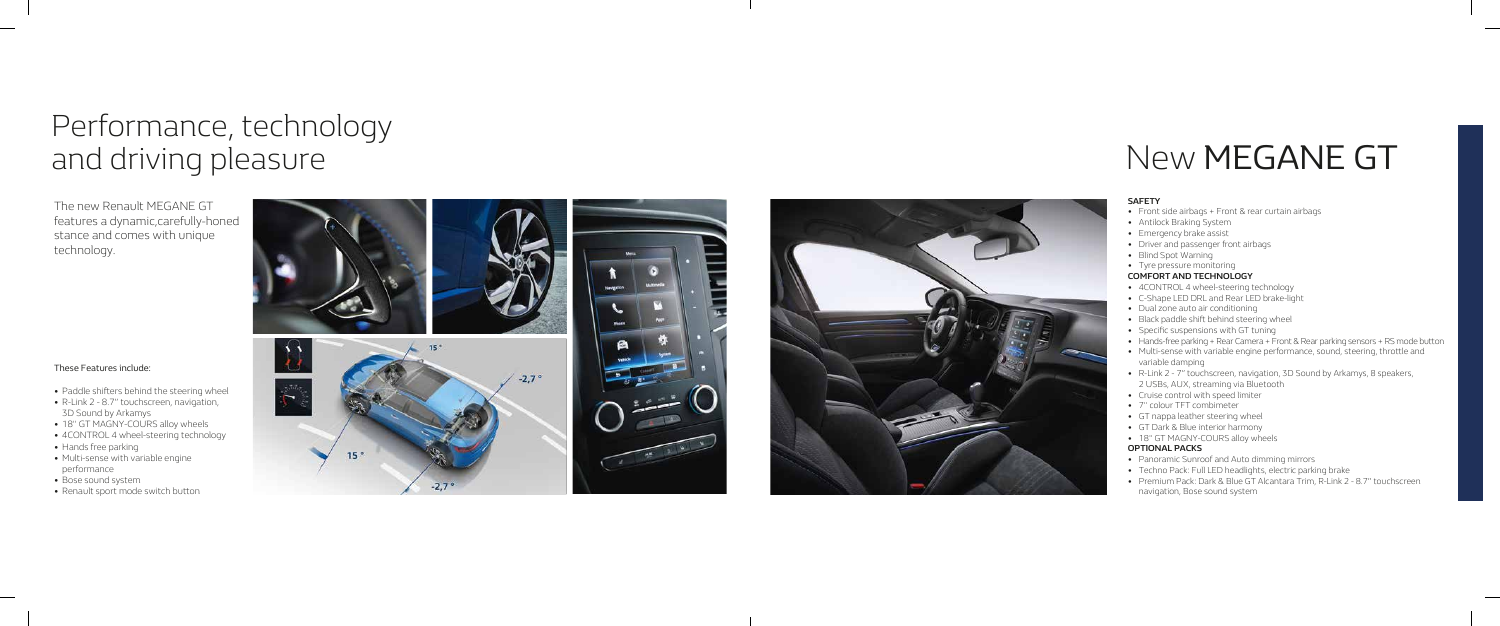## New MEGANE GT

## Performance, technology and driving pleasure

The new Renault MEGANE GT features a dynamic,carefully-honed stance and comes with unique technology.





#### **SAFETY**

- Front side airbags + Front & rear curtain airbags
- Antilock Braking System
- Emergency brake assist
- Driver and passenger front airbags
- Blind Spot Warning
- Tyre pressure monitoring

#### **COMFORT AND TECHNOLOGY**

- 4CONTROL 4 wheel-steering technology
- C-Shape LED DRL and Rear LED brake-light
- Dual zone auto air conditioning
- Black paddle shift behind steering wheel
- Specific suspensions with GT tuning
- Hands-free parking + Rear Camera + Front & Rear parking sensors + RS mode button
- Multi-sense with variable engine performance, sound, steering, throttle and variable damping
- R-Link 2 7" touchscreen, navigation, 3D Sound by Arkamys, 8 speakers, 2 USBs, AUX, streaming via Bluetooth
- Cruise control with speed limiter
- 7" colour TFT combimeter
- GT nappa leather steering wheel
- GT Dark & Blue interior harmony
- 18" GT MAGNY-COURS alloy wheels

#### **OPTIONAL PACKS**

- Panoramic Sunroof and Auto dimming mirrors
- Techno Pack: Full LED headlights, electric parking brake
- Premium Pack: Dark & Blue GT Alcantara Trim, R-Link 2 8.7" touchscreen navigation, Bose sound system

### These Features include:

- Paddle shifters behind the steering wheel
- R-Link 2 8.7" touchscreen, navigation, 3D Sound by Arkamys
- 18" GT MAGNY-COURS alloy wheels
- 4CONTROL 4 wheel-steering technology
- Hands free parking
- Multi-sense with variable engine performance
- Bose sound system
- Renault sport mode switch button